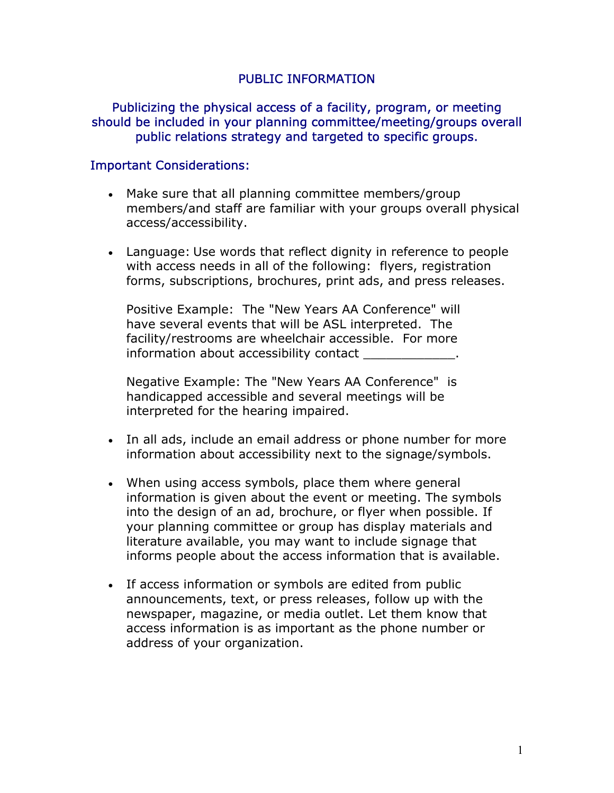## PUBLIC INFORMATION

## Publicizing the physical access of a facility, program, or meeting should be included in your planning committee/meeting/groups overall public relations strategy and targeted to specific groups.

## Important Considerations:

- Make sure that all planning committee members/group members/and staff are familiar with your groups overall physical access/accessibility.
- Language: Use words that reflect dignity in reference to people with access needs in all of the following: flyers, registration forms, subscriptions, brochures, print ads, and press releases.

Positive Example: The "New Years AA Conference" will have several events that will be ASL interpreted. The facility/restrooms are wheelchair accessible. For more information about accessibility contact  $\qquad \qquad$ 

Negative Example: The "New Years AA Conference" is handicapped accessible and several meetings will be interpreted for the hearing impaired.

- In all ads, include an email address or phone number for more information about accessibility next to the signage/symbols.
- When using access symbols, place them where general information is given about the event or meeting. The symbols into the design of an ad, brochure, or flyer when possible. If your planning committee or group has display materials and literature available, you may want to include signage that informs people about the access information that is available.
- If access information or symbols are edited from public announcements, text, or press releases, follow up with the newspaper, magazine, or media outlet. Let them know that access information is as important as the phone number or address of your organization.